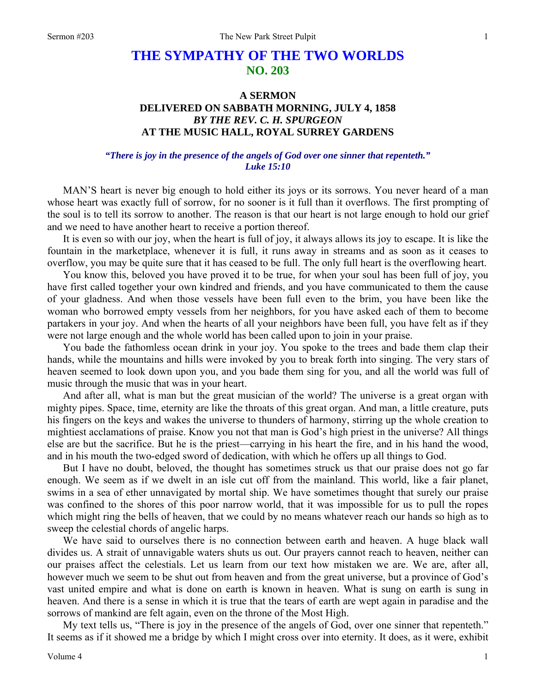# **THE SYMPATHY OF THE TWO WORLDS NO. 203**

## **A SERMON DELIVERED ON SABBATH MORNING, JULY 4, 1858**  *BY THE REV. C. H. SPURGEON*  **AT THE MUSIC HALL, ROYAL SURREY GARDENS**

## *"There is joy in the presence of the angels of God over one sinner that repenteth." Luke 15:10*

MAN'S heart is never big enough to hold either its joys or its sorrows. You never heard of a man whose heart was exactly full of sorrow, for no sooner is it full than it overflows. The first prompting of the soul is to tell its sorrow to another. The reason is that our heart is not large enough to hold our grief and we need to have another heart to receive a portion thereof.

It is even so with our joy, when the heart is full of joy, it always allows its joy to escape. It is like the fountain in the marketplace, whenever it is full, it runs away in streams and as soon as it ceases to overflow, you may be quite sure that it has ceased to be full. The only full heart is the overflowing heart.

You know this, beloved you have proved it to be true, for when your soul has been full of joy, you have first called together your own kindred and friends, and you have communicated to them the cause of your gladness. And when those vessels have been full even to the brim, you have been like the woman who borrowed empty vessels from her neighbors, for you have asked each of them to become partakers in your joy. And when the hearts of all your neighbors have been full, you have felt as if they were not large enough and the whole world has been called upon to join in your praise.

You bade the fathomless ocean drink in your joy. You spoke to the trees and bade them clap their hands, while the mountains and hills were invoked by you to break forth into singing. The very stars of heaven seemed to look down upon you, and you bade them sing for you, and all the world was full of music through the music that was in your heart.

And after all, what is man but the great musician of the world? The universe is a great organ with mighty pipes. Space, time, eternity are like the throats of this great organ. And man, a little creature, puts his fingers on the keys and wakes the universe to thunders of harmony, stirring up the whole creation to mightiest acclamations of praise. Know you not that man is God's high priest in the universe? All things else are but the sacrifice. But he is the priest—carrying in his heart the fire, and in his hand the wood, and in his mouth the two-edged sword of dedication, with which he offers up all things to God.

But I have no doubt, beloved, the thought has sometimes struck us that our praise does not go far enough. We seem as if we dwelt in an isle cut off from the mainland. This world, like a fair planet, swims in a sea of ether unnavigated by mortal ship. We have sometimes thought that surely our praise was confined to the shores of this poor narrow world, that it was impossible for us to pull the ropes which might ring the bells of heaven, that we could by no means whatever reach our hands so high as to sweep the celestial chords of angelic harps.

We have said to ourselves there is no connection between earth and heaven. A huge black wall divides us. A strait of unnavigable waters shuts us out. Our prayers cannot reach to heaven, neither can our praises affect the celestials. Let us learn from our text how mistaken we are. We are, after all, however much we seem to be shut out from heaven and from the great universe, but a province of God's vast united empire and what is done on earth is known in heaven. What is sung on earth is sung in heaven. And there is a sense in which it is true that the tears of earth are wept again in paradise and the sorrows of mankind are felt again, even on the throne of the Most High.

My text tells us, "There is joy in the presence of the angels of God, over one sinner that repenteth." It seems as if it showed me a bridge by which I might cross over into eternity. It does, as it were, exhibit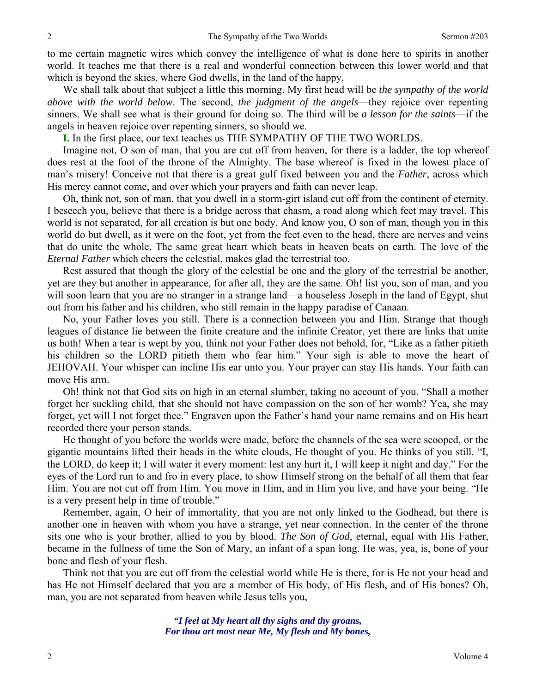to me certain magnetic wires which convey the intelligence of what is done here to spirits in another world. It teaches me that there is a real and wonderful connection between this lower world and that which is beyond the skies, where God dwells, in the land of the happy.

We shall talk about that subject a little this morning. My first head will be *the sympathy of the world above with the world below*. The second, *the judgment of the angels*—they rejoice over repenting sinners. We shall see what is their ground for doing so. The third will be *a lesson for the saints*—if the angels in heaven rejoice over repenting sinners, so should we.

**I.** In the first place, our text teaches us THE SYMPATHY OF THE TWO WORLDS.

Imagine not, O son of man, that you are cut off from heaven, for there is a ladder, the top whereof does rest at the foot of the throne of the Almighty. The base whereof is fixed in the lowest place of man's misery! Conceive not that there is a great gulf fixed between you and the *Father*, across which His mercy cannot come, and over which your prayers and faith can never leap.

Oh, think not, son of man, that you dwell in a storm-girt island cut off from the continent of eternity. I beseech you, believe that there is a bridge across that chasm, a road along which feet may travel. This world is not separated, for all creation is but one body. And know you, O son of man, though you in this world do but dwell, as it were on the foot, yet from the feet even to the head, there are nerves and veins that do unite the whole. The same great heart which beats in heaven beats on earth. The love of the *Eternal Father* which cheers the celestial, makes glad the terrestrial too.

Rest assured that though the glory of the celestial be one and the glory of the terrestrial be another, yet are they but another in appearance, for after all, they are the same. Oh! list you, son of man, and you will soon learn that you are no stranger in a strange land—a houseless Joseph in the land of Egypt, shut out from his father and his children, who still remain in the happy paradise of Canaan.

No, your Father loves you still. There is a connection between you and Him. Strange that though leagues of distance lie between the finite creature and the infinite Creator, yet there are links that unite us both! When a tear is wept by you, think not your Father does not behold, for, "Like as a father pitieth his children so the LORD pitieth them who fear him." Your sigh is able to move the heart of JEHOVAH. Your whisper can incline His ear unto you. Your prayer can stay His hands. Your faith can move His arm.

Oh! think not that God sits on high in an eternal slumber, taking no account of you. "Shall a mother forget her suckling child, that she should not have compassion on the son of her womb? Yea, she may forget, yet will I not forget thee." Engraven upon the Father's hand your name remains and on His heart recorded there your person stands.

He thought of you before the worlds were made, before the channels of the sea were scooped, or the gigantic mountains lifted their heads in the white clouds, He thought of you. He thinks of you still. "I, the LORD, do keep it; I will water it every moment: lest any hurt it, I will keep it night and day." For the eyes of the Lord run to and fro in every place, to show Himself strong on the behalf of all them that fear Him. You are not cut off from Him. You move in Him, and in Him you live, and have your being. "He is a very present help in time of trouble."

Remember, again, O heir of immortality, that you are not only linked to the Godhead, but there is another one in heaven with whom you have a strange, yet near connection. In the center of the throne sits one who is your brother, allied to you by blood. *The Son of God*, eternal, equal with His Father, became in the fullness of time the Son of Mary, an infant of a span long. He was, yea, is, bone of your bone and flesh of your flesh.

Think not that you are cut off from the celestial world while He is there, for is He not your head and has He not Himself declared that you are a member of His body, of His flesh, and of His bones? Oh, man, you are not separated from heaven while Jesus tells you,

> *"I feel at My heart all thy sighs and thy groans, For thou art most near Me, My flesh and My bones,*

2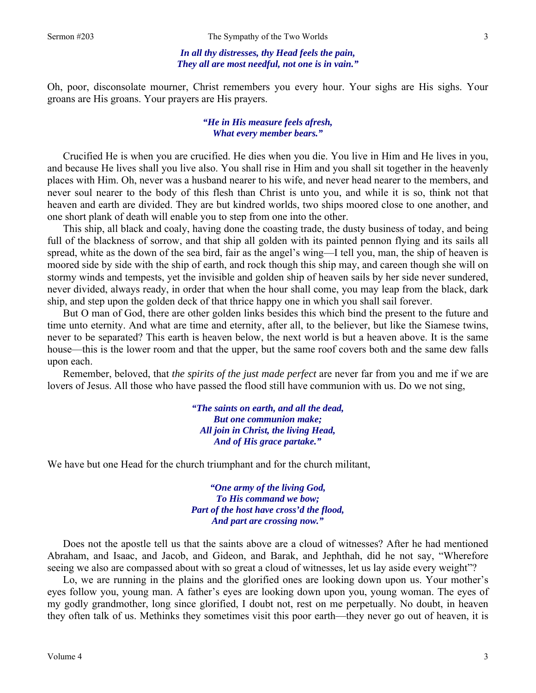### *In all thy distresses, thy Head feels the pain, They all are most needful, not one is in vain."*

Oh, poor, disconsolate mourner, Christ remembers you every hour. Your sighs are His sighs. Your groans are His groans. Your prayers are His prayers.

#### *"He in His measure feels afresh, What every member bears."*

Crucified He is when you are crucified. He dies when you die. You live in Him and He lives in you, and because He lives shall you live also. You shall rise in Him and you shall sit together in the heavenly places with Him. Oh, never was a husband nearer to his wife, and never head nearer to the members, and never soul nearer to the body of this flesh than Christ is unto you, and while it is so, think not that heaven and earth are divided. They are but kindred worlds, two ships moored close to one another, and one short plank of death will enable you to step from one into the other.

This ship, all black and coaly, having done the coasting trade, the dusty business of today, and being full of the blackness of sorrow, and that ship all golden with its painted pennon flying and its sails all spread, white as the down of the sea bird, fair as the angel's wing—I tell you, man, the ship of heaven is moored side by side with the ship of earth, and rock though this ship may, and careen though she will on stormy winds and tempests, yet the invisible and golden ship of heaven sails by her side never sundered, never divided, always ready, in order that when the hour shall come, you may leap from the black, dark ship, and step upon the golden deck of that thrice happy one in which you shall sail forever.

But O man of God, there are other golden links besides this which bind the present to the future and time unto eternity. And what are time and eternity, after all, to the believer, but like the Siamese twins, never to be separated? This earth is heaven below, the next world is but a heaven above. It is the same house—this is the lower room and that the upper, but the same roof covers both and the same dew falls upon each.

Remember, beloved, that *the spirits of the just made perfect* are never far from you and me if we are lovers of Jesus. All those who have passed the flood still have communion with us. Do we not sing,

> *"The saints on earth, and all the dead, But one communion make; All join in Christ, the living Head, And of His grace partake."*

We have but one Head for the church triumphant and for the church militant,

*"One army of the living God, To His command we bow; Part of the host have cross'd the flood, And part are crossing now."* 

Does not the apostle tell us that the saints above are a cloud of witnesses? After he had mentioned Abraham, and Isaac, and Jacob, and Gideon, and Barak, and Jephthah, did he not say, "Wherefore seeing we also are compassed about with so great a cloud of witnesses, let us lay aside every weight"?

Lo, we are running in the plains and the glorified ones are looking down upon us. Your mother's eyes follow you, young man. A father's eyes are looking down upon you, young woman. The eyes of my godly grandmother, long since glorified, I doubt not, rest on me perpetually. No doubt, in heaven they often talk of us. Methinks they sometimes visit this poor earth—they never go out of heaven, it is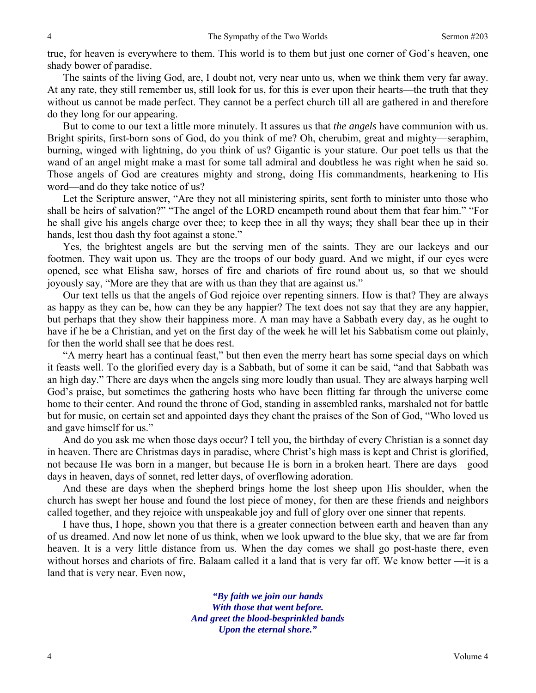true, for heaven is everywhere to them. This world is to them but just one corner of God's heaven, one shady bower of paradise.

The saints of the living God, are, I doubt not, very near unto us, when we think them very far away. At any rate, they still remember us, still look for us, for this is ever upon their hearts—the truth that they without us cannot be made perfect. They cannot be a perfect church till all are gathered in and therefore do they long for our appearing.

But to come to our text a little more minutely. It assures us that *the angels* have communion with us. Bright spirits, first-born sons of God, do you think of me? Oh, cherubim, great and mighty—seraphim, burning, winged with lightning, do you think of us? Gigantic is your stature. Our poet tells us that the wand of an angel might make a mast for some tall admiral and doubtless he was right when he said so. Those angels of God are creatures mighty and strong, doing His commandments, hearkening to His word—and do they take notice of us?

Let the Scripture answer, "Are they not all ministering spirits, sent forth to minister unto those who shall be heirs of salvation?" "The angel of the LORD encampeth round about them that fear him." "For he shall give his angels charge over thee; to keep thee in all thy ways; they shall bear thee up in their hands, lest thou dash thy foot against a stone."

Yes, the brightest angels are but the serving men of the saints. They are our lackeys and our footmen. They wait upon us. They are the troops of our body guard. And we might, if our eyes were opened, see what Elisha saw, horses of fire and chariots of fire round about us, so that we should joyously say, "More are they that are with us than they that are against us."

Our text tells us that the angels of God rejoice over repenting sinners. How is that? They are always as happy as they can be, how can they be any happier? The text does not say that they are any happier, but perhaps that they show their happiness more. A man may have a Sabbath every day, as he ought to have if he be a Christian, and yet on the first day of the week he will let his Sabbatism come out plainly, for then the world shall see that he does rest.

"A merry heart has a continual feast," but then even the merry heart has some special days on which it feasts well. To the glorified every day is a Sabbath, but of some it can be said, "and that Sabbath was an high day." There are days when the angels sing more loudly than usual. They are always harping well God's praise, but sometimes the gathering hosts who have been flitting far through the universe come home to their center. And round the throne of God, standing in assembled ranks, marshaled not for battle but for music, on certain set and appointed days they chant the praises of the Son of God, "Who loved us and gave himself for us."

And do you ask me when those days occur? I tell you, the birthday of every Christian is a sonnet day in heaven. There are Christmas days in paradise, where Christ's high mass is kept and Christ is glorified, not because He was born in a manger, but because He is born in a broken heart. There are days—good days in heaven, days of sonnet, red letter days, of overflowing adoration.

And these are days when the shepherd brings home the lost sheep upon His shoulder, when the church has swept her house and found the lost piece of money, for then are these friends and neighbors called together, and they rejoice with unspeakable joy and full of glory over one sinner that repents.

I have thus, I hope, shown you that there is a greater connection between earth and heaven than any of us dreamed. And now let none of us think, when we look upward to the blue sky, that we are far from heaven. It is a very little distance from us. When the day comes we shall go post-haste there, even without horses and chariots of fire. Balaam called it a land that is very far off. We know better —it is a land that is very near. Even now,

> *"By faith we join our hands With those that went before. And greet the blood-besprinkled bands Upon the eternal shore."*

4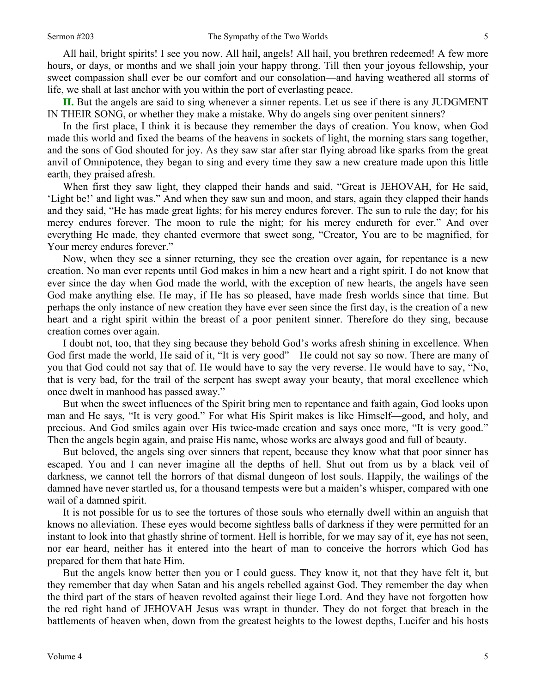All hail, bright spirits! I see you now. All hail, angels! All hail, you brethren redeemed! A few more hours, or days, or months and we shall join your happy throng. Till then your joyous fellowship, your sweet compassion shall ever be our comfort and our consolation—and having weathered all storms of life, we shall at last anchor with you within the port of everlasting peace.

**II.** But the angels are said to sing whenever a sinner repents. Let us see if there is any JUDGMENT IN THEIR SONG, or whether they make a mistake. Why do angels sing over penitent sinners?

In the first place, I think it is because they remember the days of creation. You know, when God made this world and fixed the beams of the heavens in sockets of light, the morning stars sang together, and the sons of God shouted for joy. As they saw star after star flying abroad like sparks from the great anvil of Omnipotence, they began to sing and every time they saw a new creature made upon this little earth, they praised afresh.

When first they saw light, they clapped their hands and said, "Great is JEHOVAH, for He said, 'Light be!' and light was." And when they saw sun and moon, and stars, again they clapped their hands and they said, "He has made great lights; for his mercy endures forever. The sun to rule the day; for his mercy endures forever. The moon to rule the night; for his mercy endureth for ever." And over everything He made, they chanted evermore that sweet song, "Creator, You are to be magnified, for Your mercy endures forever."

Now, when they see a sinner returning, they see the creation over again, for repentance is a new creation. No man ever repents until God makes in him a new heart and a right spirit. I do not know that ever since the day when God made the world, with the exception of new hearts, the angels have seen God make anything else. He may, if He has so pleased, have made fresh worlds since that time. But perhaps the only instance of new creation they have ever seen since the first day, is the creation of a new heart and a right spirit within the breast of a poor penitent sinner. Therefore do they sing, because creation comes over again.

I doubt not, too, that they sing because they behold God's works afresh shining in excellence. When God first made the world, He said of it, "It is very good"—He could not say so now. There are many of you that God could not say that of. He would have to say the very reverse. He would have to say, "No, that is very bad, for the trail of the serpent has swept away your beauty, that moral excellence which once dwelt in manhood has passed away."

But when the sweet influences of the Spirit bring men to repentance and faith again, God looks upon man and He says, "It is very good." For what His Spirit makes is like Himself—good, and holy, and precious. And God smiles again over His twice-made creation and says once more, "It is very good." Then the angels begin again, and praise His name, whose works are always good and full of beauty.

But beloved, the angels sing over sinners that repent, because they know what that poor sinner has escaped. You and I can never imagine all the depths of hell. Shut out from us by a black veil of darkness, we cannot tell the horrors of that dismal dungeon of lost souls. Happily, the wailings of the damned have never startled us, for a thousand tempests were but a maiden's whisper, compared with one wail of a damned spirit.

It is not possible for us to see the tortures of those souls who eternally dwell within an anguish that knows no alleviation. These eyes would become sightless balls of darkness if they were permitted for an instant to look into that ghastly shrine of torment. Hell is horrible, for we may say of it, eye has not seen, nor ear heard, neither has it entered into the heart of man to conceive the horrors which God has prepared for them that hate Him.

But the angels know better then you or I could guess. They know it, not that they have felt it, but they remember that day when Satan and his angels rebelled against God. They remember the day when the third part of the stars of heaven revolted against their liege Lord. And they have not forgotten how the red right hand of JEHOVAH Jesus was wrapt in thunder. They do not forget that breach in the battlements of heaven when, down from the greatest heights to the lowest depths, Lucifer and his hosts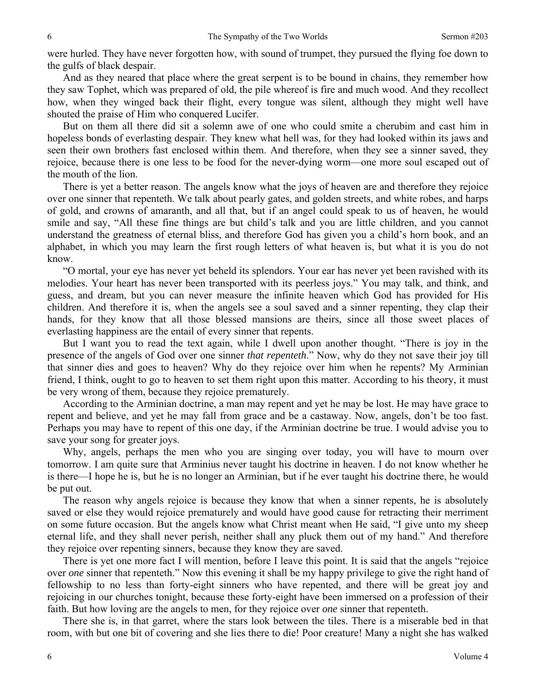were hurled. They have never forgotten how, with sound of trumpet, they pursued the flying foe down to the gulfs of black despair.

And as they neared that place where the great serpent is to be bound in chains, they remember how they saw Tophet, which was prepared of old, the pile whereof is fire and much wood. And they recollect how, when they winged back their flight, every tongue was silent, although they might well have shouted the praise of Him who conquered Lucifer.

But on them all there did sit a solemn awe of one who could smite a cherubim and cast him in hopeless bonds of everlasting despair. They knew what hell was, for they had looked within its jaws and seen their own brothers fast enclosed within them. And therefore, when they see a sinner saved, they rejoice, because there is one less to be food for the never-dying worm—one more soul escaped out of the mouth of the lion.

There is yet a better reason. The angels know what the joys of heaven are and therefore they rejoice over one sinner that repenteth. We talk about pearly gates, and golden streets, and white robes, and harps of gold, and crowns of amaranth, and all that, but if an angel could speak to us of heaven, he would smile and say, "All these fine things are but child's talk and you are little children, and you cannot understand the greatness of eternal bliss, and therefore God has given you a child's horn book, and an alphabet, in which you may learn the first rough letters of what heaven is, but what it is you do not know.

"O mortal, your eye has never yet beheld its splendors. Your ear has never yet been ravished with its melodies. Your heart has never been transported with its peerless joys." You may talk, and think, and guess, and dream, but you can never measure the infinite heaven which God has provided for His children. And therefore it is, when the angels see a soul saved and a sinner repenting, they clap their hands, for they know that all those blessed mansions are theirs, since all those sweet places of everlasting happiness are the entail of every sinner that repents.

But I want you to read the text again, while I dwell upon another thought. "There is joy in the presence of the angels of God over one sinner *that repenteth*." Now, why do they not save their joy till that sinner dies and goes to heaven? Why do they rejoice over him when he repents? My Arminian friend, I think, ought to go to heaven to set them right upon this matter. According to his theory, it must be very wrong of them, because they rejoice prematurely.

According to the Arminian doctrine, a man may repent and yet he may be lost. He may have grace to repent and believe, and yet he may fall from grace and be a castaway. Now, angels, don't be too fast. Perhaps you may have to repent of this one day, if the Arminian doctrine be true. I would advise you to save your song for greater joys.

Why, angels, perhaps the men who you are singing over today, you will have to mourn over tomorrow. I am quite sure that Arminius never taught his doctrine in heaven. I do not know whether he is there—I hope he is, but he is no longer an Arminian, but if he ever taught his doctrine there, he would be put out.

The reason why angels rejoice is because they know that when a sinner repents, he is absolutely saved or else they would rejoice prematurely and would have good cause for retracting their merriment on some future occasion. But the angels know what Christ meant when He said, "I give unto my sheep eternal life, and they shall never perish, neither shall any pluck them out of my hand." And therefore they rejoice over repenting sinners, because they know they are saved.

There is yet one more fact I will mention, before I leave this point. It is said that the angels "rejoice over *one* sinner that repenteth." Now this evening it shall be my happy privilege to give the right hand of fellowship to no less than forty-eight sinners who have repented, and there will be great joy and rejoicing in our churches tonight, because these forty-eight have been immersed on a profession of their faith. But how loving are the angels to men, for they rejoice over *one* sinner that repenteth.

There she is, in that garret, where the stars look between the tiles. There is a miserable bed in that room, with but one bit of covering and she lies there to die! Poor creature! Many a night she has walked

6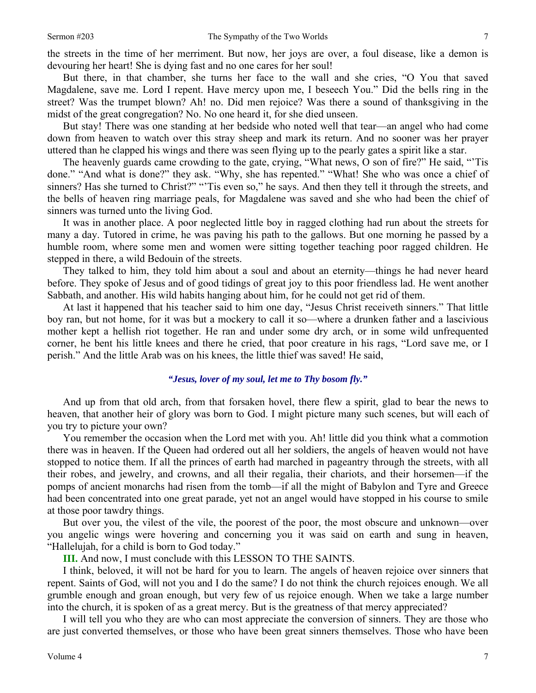the streets in the time of her merriment. But now, her joys are over, a foul disease, like a demon is devouring her heart! She is dying fast and no one cares for her soul!

But there, in that chamber, she turns her face to the wall and she cries, "O You that saved Magdalene, save me. Lord I repent. Have mercy upon me, I beseech You." Did the bells ring in the street? Was the trumpet blown? Ah! no. Did men rejoice? Was there a sound of thanksgiving in the midst of the great congregation? No. No one heard it, for she died unseen.

But stay! There was one standing at her bedside who noted well that tear—an angel who had come down from heaven to watch over this stray sheep and mark its return. And no sooner was her prayer uttered than he clapped his wings and there was seen flying up to the pearly gates a spirit like a star.

The heavenly guards came crowding to the gate, crying, "What news, O son of fire?" He said, "'Tis done." "And what is done?" they ask. "Why, she has repented." "What! She who was once a chief of sinners? Has she turned to Christ?" "'Tis even so," he says. And then they tell it through the streets, and the bells of heaven ring marriage peals, for Magdalene was saved and she who had been the chief of sinners was turned unto the living God.

It was in another place. A poor neglected little boy in ragged clothing had run about the streets for many a day. Tutored in crime, he was paving his path to the gallows. But one morning he passed by a humble room, where some men and women were sitting together teaching poor ragged children. He stepped in there, a wild Bedouin of the streets.

They talked to him, they told him about a soul and about an eternity—things he had never heard before. They spoke of Jesus and of good tidings of great joy to this poor friendless lad. He went another Sabbath, and another. His wild habits hanging about him, for he could not get rid of them.

At last it happened that his teacher said to him one day, "Jesus Christ receiveth sinners." That little boy ran, but not home, for it was but a mockery to call it so—where a drunken father and a lascivious mother kept a hellish riot together. He ran and under some dry arch, or in some wild unfrequented corner, he bent his little knees and there he cried, that poor creature in his rags, "Lord save me, or I perish." And the little Arab was on his knees, the little thief was saved! He said,

#### *"Jesus, lover of my soul, let me to Thy bosom fly."*

And up from that old arch, from that forsaken hovel, there flew a spirit, glad to bear the news to heaven, that another heir of glory was born to God. I might picture many such scenes, but will each of you try to picture your own?

You remember the occasion when the Lord met with you. Ah! little did you think what a commotion there was in heaven. If the Queen had ordered out all her soldiers, the angels of heaven would not have stopped to notice them. If all the princes of earth had marched in pageantry through the streets, with all their robes, and jewelry, and crowns, and all their regalia, their chariots, and their horsemen—if the pomps of ancient monarchs had risen from the tomb—if all the might of Babylon and Tyre and Greece had been concentrated into one great parade, yet not an angel would have stopped in his course to smile at those poor tawdry things.

But over you, the vilest of the vile, the poorest of the poor, the most obscure and unknown—over you angelic wings were hovering and concerning you it was said on earth and sung in heaven, "Hallelujah, for a child is born to God today."

**III.** And now, I must conclude with this LESSON TO THE SAINTS.

I think, beloved, it will not be hard for you to learn. The angels of heaven rejoice over sinners that repent. Saints of God, will not you and I do the same? I do not think the church rejoices enough. We all grumble enough and groan enough, but very few of us rejoice enough. When we take a large number into the church, it is spoken of as a great mercy. But is the greatness of that mercy appreciated?

I will tell you who they are who can most appreciate the conversion of sinners. They are those who are just converted themselves, or those who have been great sinners themselves. Those who have been